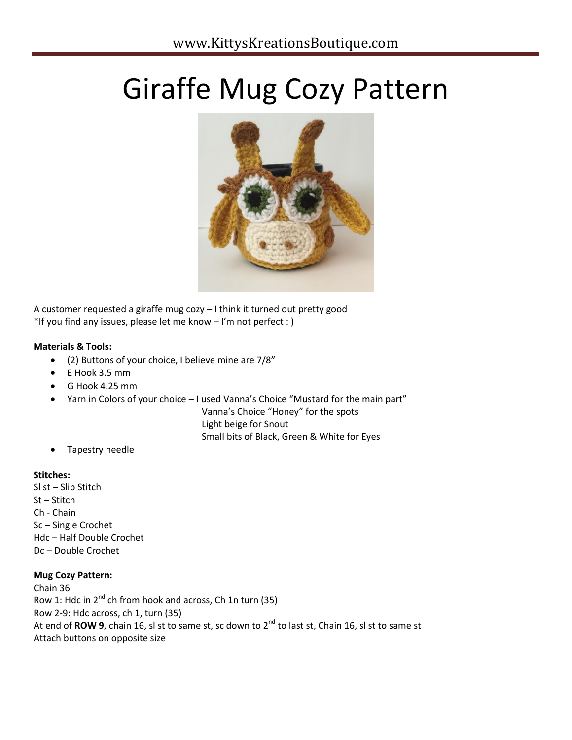# Giraffe Mug Cozy Pattern



A customer requested a giraffe mug cozy – I think it turned out pretty good \*If you find any issues, please let me know – I'm not perfect : )

## **Materials & Tools:**

- (2) Buttons of your choice, I believe mine are 7/8"
- E Hook 3.5 mm
- G Hook 4.25 mm
- Yarn in Colors of your choice I used Vanna's Choice "Mustard for the main part"
	- Vanna's Choice "Honey" for the spots

Light beige for Snout

Small bits of Black, Green & White for Eyes

Tapestry needle

#### **Stitches:**

Sl st – Slip Stitch St – Stitch Ch - Chain Sc – Single Crochet Hdc – Half Double Crochet Dc – Double Crochet

# **Mug Cozy Pattern:**

Chain 36 Row 1: Hdc in  $2^{nd}$  ch from hook and across, Ch 1n turn (35) Row 2-9: Hdc across, ch 1, turn (35) At end of **ROW 9**, chain 16, sl st to same st, sc down to 2<sup>nd</sup> to last st, Chain 16, sl st to same st Attach buttons on opposite size